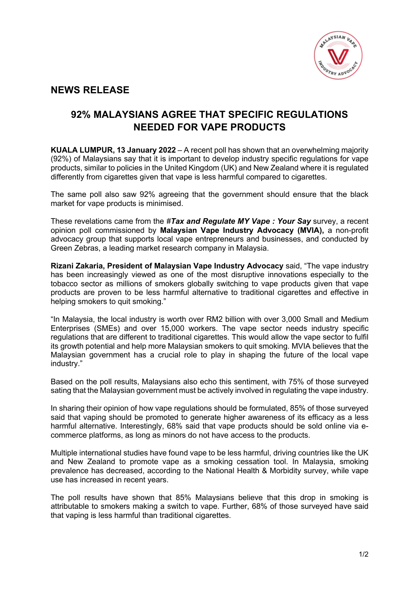

## **NEWS RELEASE**

## **92% MALAYSIANS AGREE THAT SPECIFIC REGULATIONS NEEDED FOR VAPE PRODUCTS**

**KUALA LUMPUR, 13 January 2022** – A recent poll has shown that an overwhelming majority (92%) of Malaysians say that it is important to develop industry specific regulations for vape products, similar to policies in the United Kingdom (UK) and New Zealand where it is regulated differently from cigarettes given that vape is less harmful compared to cigarettes.

The same poll also saw 92% agreeing that the government should ensure that the black market for vape products is minimised.

These revelations came from the *#Tax and Regulate MY Vape : Your Say* survey, a recent opinion poll commissioned by **Malaysian Vape Industry Advocacy (MVIA),** a non-profit advocacy group that supports local vape entrepreneurs and businesses, and conducted by Green Zebras, a leading market research company in Malaysia.

**Rizani Zakaria, President of Malaysian Vape Industry Advocacy** said, "The vape industry has been increasingly viewed as one of the most disruptive innovations especially to the tobacco sector as millions of smokers globally switching to vape products given that vape products are proven to be less harmful alternative to traditional cigarettes and effective in helping smokers to quit smoking."

"In Malaysia, the local industry is worth over RM2 billion with over 3,000 Small and Medium Enterprises (SMEs) and over 15,000 workers. The vape sector needs industry specific regulations that are different to traditional cigarettes. This would allow the vape sector to fulfil its growth potential and help more Malaysian smokers to quit smoking. MVIA believes that the Malaysian government has a crucial role to play in shaping the future of the local vape industry."

Based on the poll results, Malaysians also echo this sentiment, with 75% of those surveyed sating that the Malaysian government must be actively involved in regulating the vape industry.

In sharing their opinion of how vape regulations should be formulated, 85% of those surveyed said that vaping should be promoted to generate higher awareness of its efficacy as a less harmful alternative. Interestingly, 68% said that vape products should be sold online via ecommerce platforms, as long as minors do not have access to the products.

Multiple international studies have found vape to be less harmful, driving countries like the UK and New Zealand to promote vape as a smoking cessation tool. In Malaysia, smoking prevalence has decreased, according to the National Health & Morbidity survey, while vape use has increased in recent years.

The poll results have shown that 85% Malaysians believe that this drop in smoking is attributable to smokers making a switch to vape. Further, 68% of those surveyed have said that vaping is less harmful than traditional cigarettes.